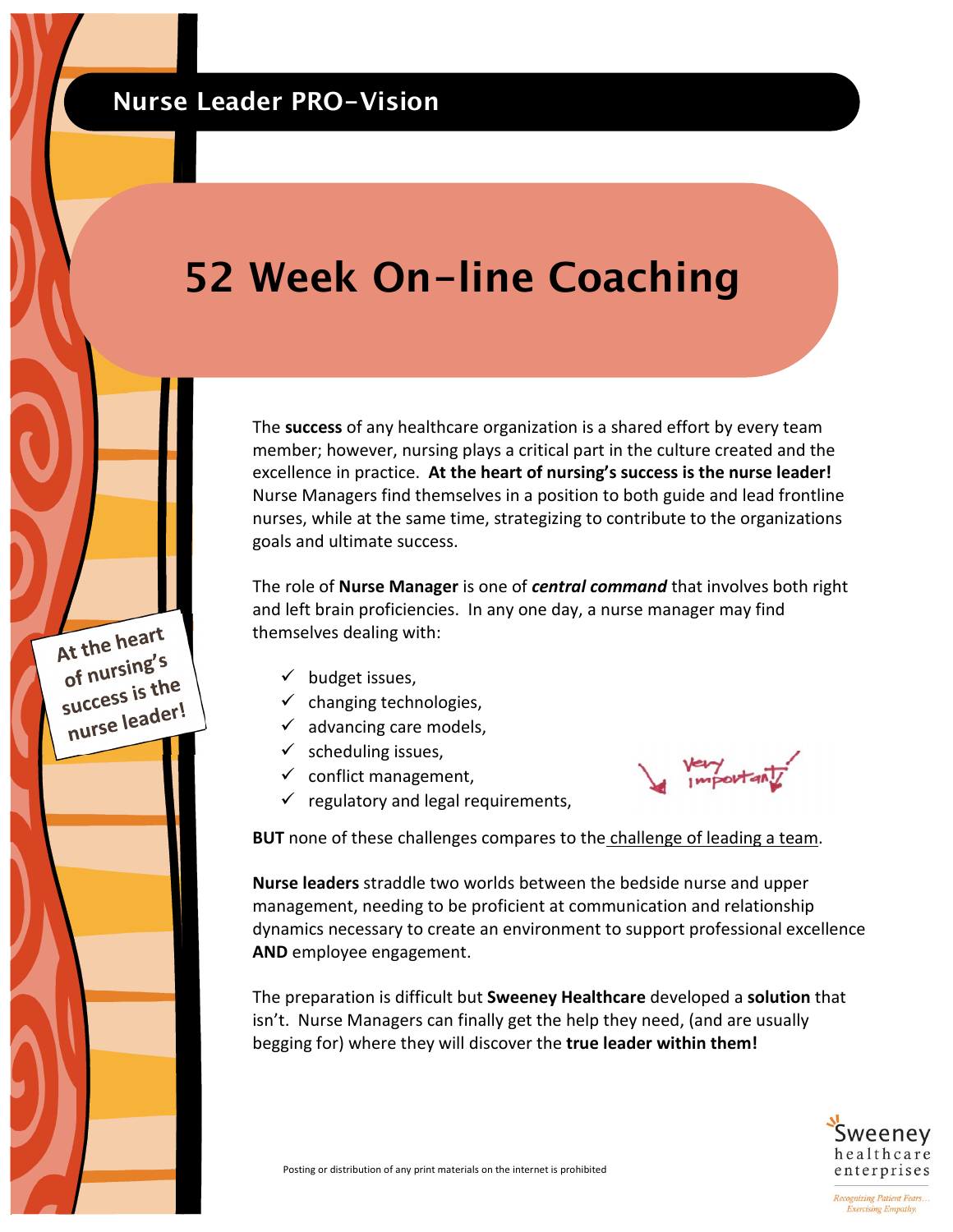At the heart At the  $\frac{1}{2}$  of nursing's of nursting<br>success is the success is<br>nurse leader!

## **52 Week On-line Coaching**

The **success** of any healthcare organization is a shared effort by every team member; however, nursing plays a critical part in the culture created and the excellence in practice. **At the heart of nursing's success is the nurse leader!** Nurse Managers find themselves in a position to both guide and lead frontline nurses, while at the same time, strategizing to contribute to the organizations goals and ultimate success.

The role of **Nurse Manager** is one of *central command* that involves both right and left brain proficiencies. In any one day, a nurse manager may find themselves dealing with:

- $\checkmark$  budget issues,
- $\checkmark$  changing technologies,
- $\checkmark$  advancing care models,
- $\checkmark$  scheduling issues,
- $\checkmark$  conflict management,
- $\checkmark$  regulatory and legal requirements,



**BUT** none of these challenges compares to the challenge of leading a team.

**Nurse leaders** straddle two worlds between the bedside nurse and upper management, needing to be proficient at communication and relationship dynamics necessary to create an environment to support professional excellence **AND** employee engagement.

The preparation is difficult but **Sweeney Healthcare** developed a **solution** that isn't. Nurse Managers can finally get the help they need, (and are usually begging for) where they will discover the **true leader within them!** 



Recognizing Patient Fears... **Exercising Empathy.**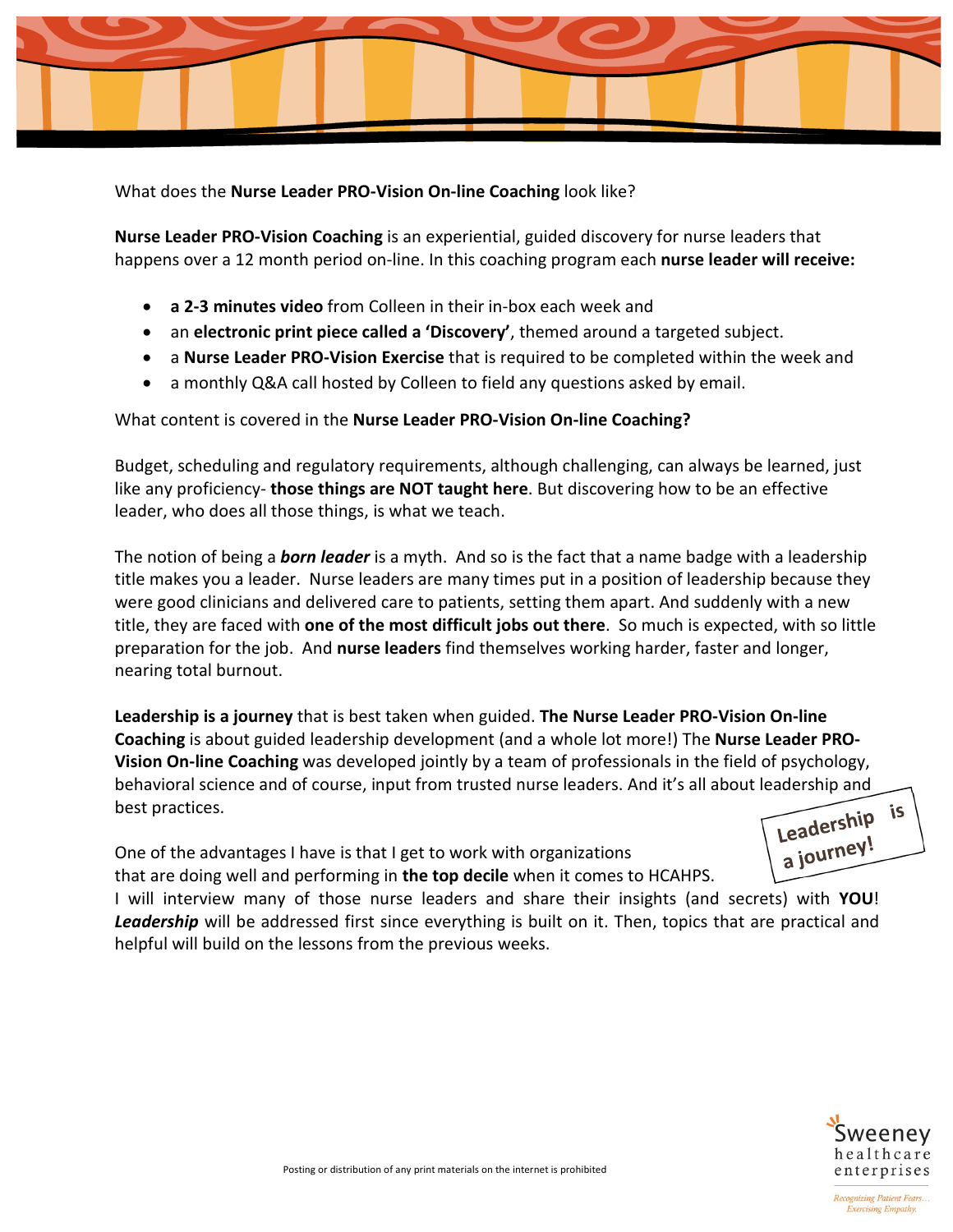

What does the **Nurse Leader PRO-Vision On-line Coaching** look like?

**Nurse Leader PRO-Vision Coaching** is an experiential, guided discovery for nurse leaders that happens over a 12 month period on-line. In this coaching program each **nurse leader will receive:** 

- **a 2-3 minutes video** from Colleen in their in-box each week and
- an **electronic print piece called a 'Discovery'**, themed around a targeted subject.
- a **Nurse Leader PRO-Vision Exercise** that is required to be completed within the week and
- a monthly Q&A call hosted by Colleen to field any questions asked by email.

## What content is covered in the **Nurse Leader PRO-Vision On-line Coaching?**

Budget, scheduling and regulatory requirements, although challenging, can always be learned, just like any proficiency- **those things are NOT taught here**. But discovering how to be an effective leader, who does all those things, is what we teach.

The notion of being a *born leader* is a myth. And so is the fact that a name badge with a leadership title makes you a leader. Nurse leaders are many times put in a position of leadership because they were good clinicians and delivered care to patients, setting them apart. And suddenly with a new title, they are faced with **one of the most difficult jobs out there**. So much is expected, with so little preparation for the job. And **nurse leaders** find themselves working harder, faster and longer, nearing total burnout.

**Leadership is a journey** that is best taken when guided. **The Nurse Leader PRO-Vision On-line Coaching** is about guided leadership development (and a whole lot more!) The **Nurse Leader PRO-Vision On-line Coaching** was developed jointly by a team of professionals in the field of psychology, behavioral science and of course, input from trusted nurse leaders. And it's all about leadership and Leadership is best practices.

One of the advantages I have is that I get to work with organizations that are doing well and performing in **the top decile** when it comes to HCAHPS.

I will interview many of those nurse leaders and share their insights (and secrets) with **YOU**! *Leadership* will be addressed first since everything is built on it. Then, topics that are practical and helpful will build on the lessons from the previous weeks.



Leauerey!